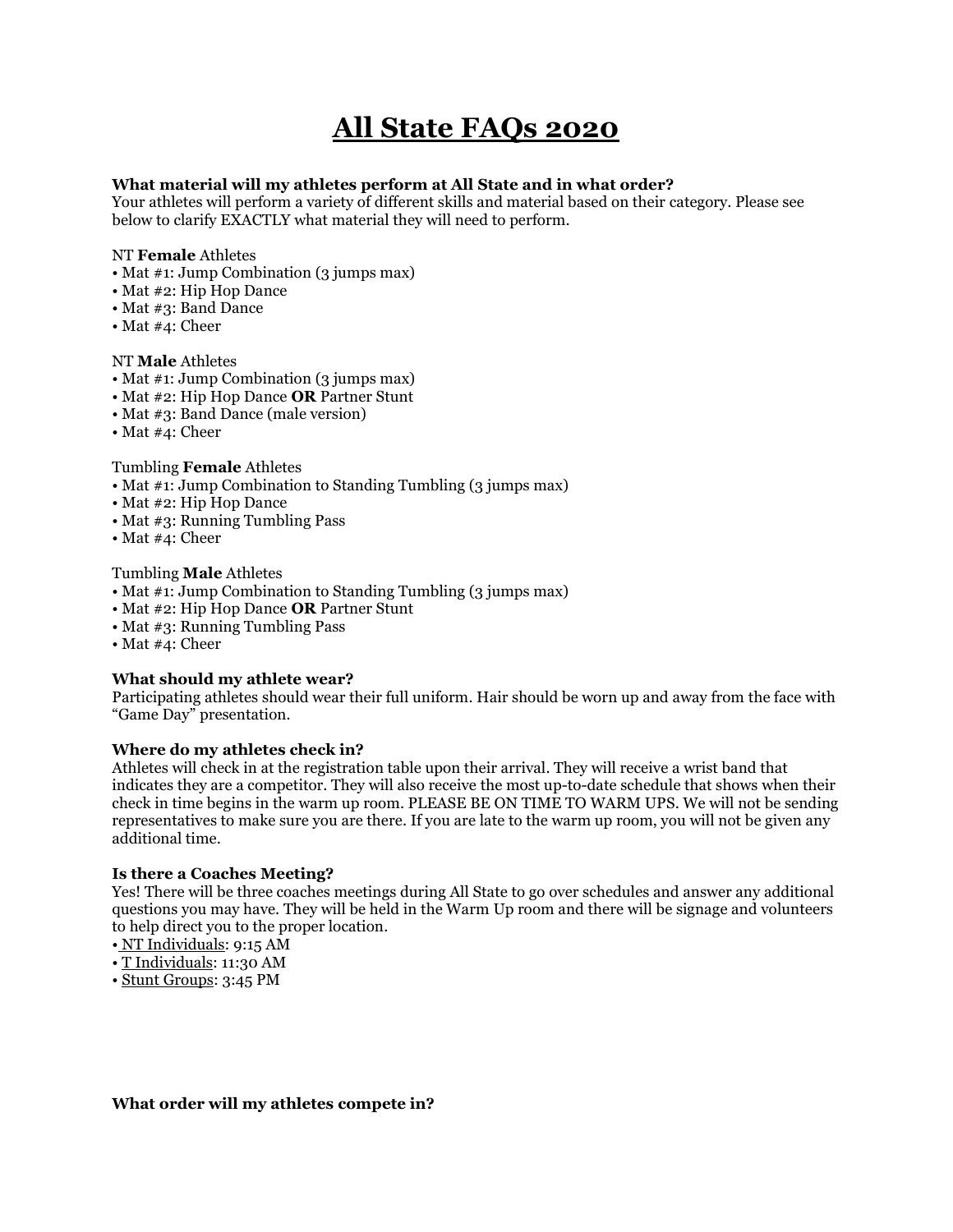# All State FAQs 2020

# What material will my athletes perform at All State and in what order?

Your athletes will perform a variety of different skills and material based on their category. Please see below to clarify EXACTLY what material they will need to perform.

# NT Female Athletes

- Mat #1: Jump Combination (3 jumps max)
- Mat #2: Hip Hop Dance
- Mat #3: Band Dance
- Mat #4: Cheer

### NT Male Athletes

- Mat #1: Jump Combination (3 jumps max)
- Mat #2: Hip Hop Dance **OR** Partner Stunt
- Mat #3: Band Dance (male version)
- Mat #4: Cheer

# Tumbling Female Athletes

- Mat #1: Jump Combination to Standing Tumbling (3 jumps max)
- Mat #2: Hip Hop Dance
- Mat #3: Running Tumbling Pass
- Mat #4: Cheer

# Tumbling Male Athletes

- Mat #1: Jump Combination to Standing Tumbling (3 jumps max)
- Mat #2: Hip Hop Dance OR Partner Stunt
- Mat #3: Running Tumbling Pass
- Mat #4: Cheer

# What should my athlete wear?

Participating athletes should wear their full uniform. Hair should be worn up and away from the face with "Game Day" presentation.

# Where do my athletes check in?

Athletes will check in at the registration table upon their arrival. They will receive a wrist band that indicates they are a competitor. They will also receive the most up-to-date schedule that shows when their check in time begins in the warm up room. PLEASE BE ON TIME TO WARM UPS. We will not be sending representatives to make sure you are there. If you are late to the warm up room, you will not be given any additional time.

# Is there a Coaches Meeting?

Yes! There will be three coaches meetings during All State to go over schedules and answer any additional questions you may have. They will be held in the Warm Up room and there will be signage and volunteers to help direct you to the proper location.

- NT Individuals: 9:15 AM
- T Individuals: 11:30 AM
- Stunt Groups: 3:45 PM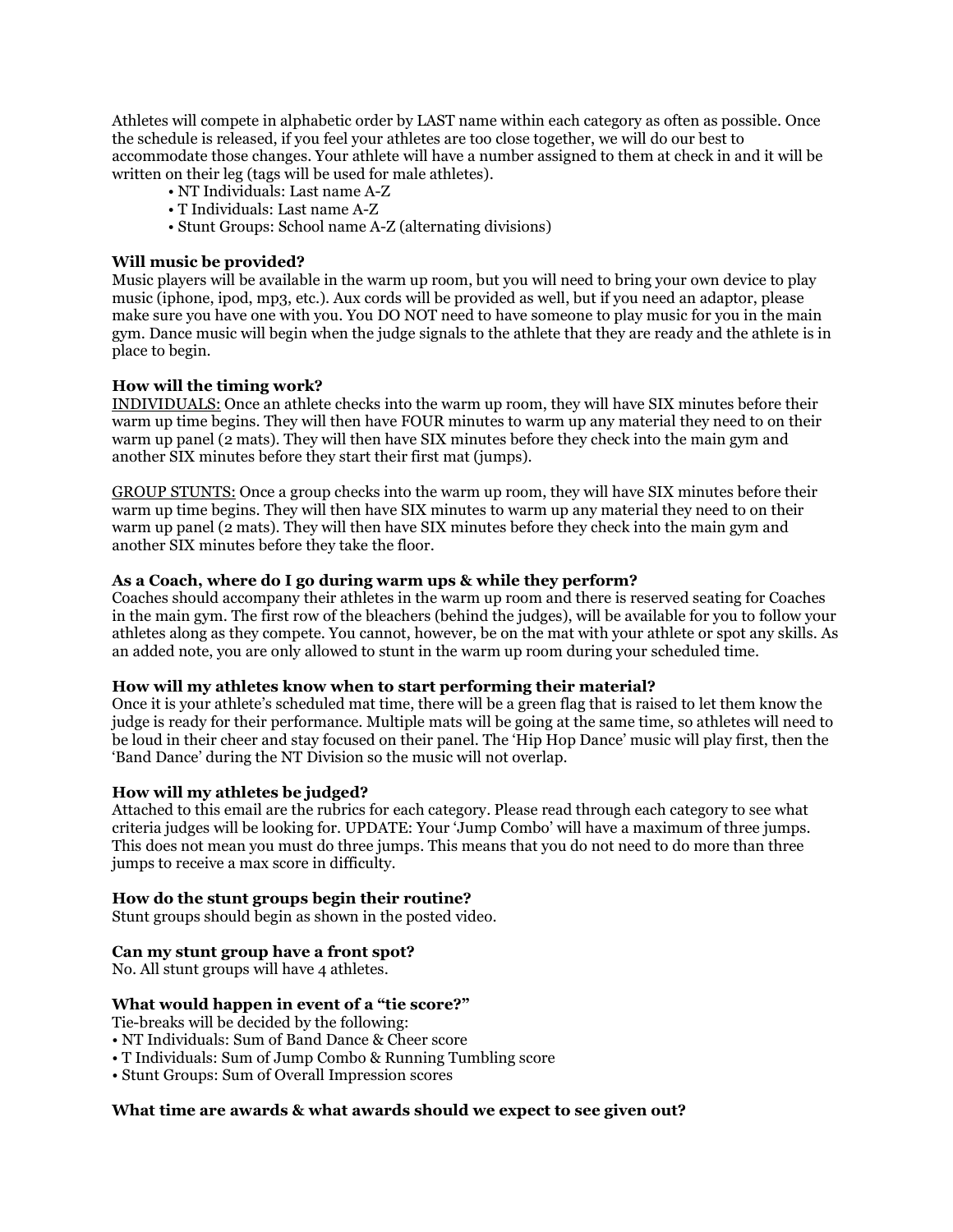Athletes will compete in alphabetic order by LAST name within each category as often as possible. Once the schedule is released, if you feel your athletes are too close together, we will do our best to accommodate those changes. Your athlete will have a number assigned to them at check in and it will be written on their leg (tags will be used for male athletes).

- NT Individuals: Last name A-Z
- T Individuals: Last name A-Z
- Stunt Groups: School name A-Z (alternating divisions)

### Will music be provided?

Music players will be available in the warm up room, but you will need to bring your own device to play music (iphone, ipod, mp3, etc.). Aux cords will be provided as well, but if you need an adaptor, please make sure you have one with you. You DO NOT need to have someone to play music for you in the main gym. Dance music will begin when the judge signals to the athlete that they are ready and the athlete is in place to begin.

#### How will the timing work?

INDIVIDUALS: Once an athlete checks into the warm up room, they will have SIX minutes before their warm up time begins. They will then have FOUR minutes to warm up any material they need to on their warm up panel (2 mats). They will then have SIX minutes before they check into the main gym and another SIX minutes before they start their first mat (jumps).

GROUP STUNTS: Once a group checks into the warm up room, they will have SIX minutes before their warm up time begins. They will then have SIX minutes to warm up any material they need to on their warm up panel (2 mats). They will then have SIX minutes before they check into the main gym and another SIX minutes before they take the floor.

#### As a Coach, where do I go during warm ups & while they perform?

Coaches should accompany their athletes in the warm up room and there is reserved seating for Coaches in the main gym. The first row of the bleachers (behind the judges), will be available for you to follow your athletes along as they compete. You cannot, however, be on the mat with your athlete or spot any skills. As an added note, you are only allowed to stunt in the warm up room during your scheduled time.

#### How will my athletes know when to start performing their material?

Once it is your athlete's scheduled mat time, there will be a green flag that is raised to let them know the judge is ready for their performance. Multiple mats will be going at the same time, so athletes will need to be loud in their cheer and stay focused on their panel. The 'Hip Hop Dance' music will play first, then the 'Band Dance' during the NT Division so the music will not overlap.

#### How will my athletes be judged?

Attached to this email are the rubrics for each category. Please read through each category to see what criteria judges will be looking for. UPDATE: Your 'Jump Combo' will have a maximum of three jumps. This does not mean you must do three jumps. This means that you do not need to do more than three jumps to receive a max score in difficulty.

#### How do the stunt groups begin their routine?

Stunt groups should begin as shown in the posted video.

# Can my stunt group have a front spot?

No. All stunt groups will have 4 athletes.

#### What would happen in event of a "tie score?"

Tie-breaks will be decided by the following:

- NT Individuals: Sum of Band Dance & Cheer score
- T Individuals: Sum of Jump Combo & Running Tumbling score
- Stunt Groups: Sum of Overall Impression scores

# What time are awards & what awards should we expect to see given out?